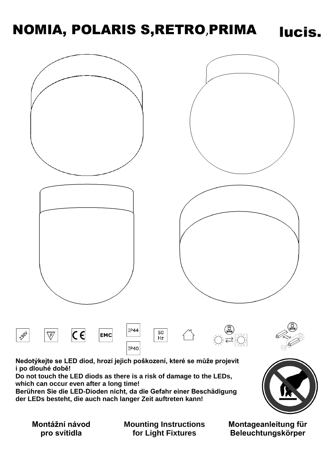# NOMIA, POLARIS S,RETRO,PRIMA



**Nedotýkejte se LED diod, hrozí jejich poškození, které se může projevit i po dlouhé době!**

**Do not touch the LED diods as there is a risk of damage to the LEDs, which can occur even after a long time!**

**Berühren Sie die LED-Dioden nicht, da die Gefahr einer Beschädigung der LEDs besteht, die auch nach langer Zeit auftreten kann!**

**Montážní návod pro svítidla**

**Mounting Instructions for Light Fixtures**

**Montageanleitung für Beleuchtungskörper**

lucis.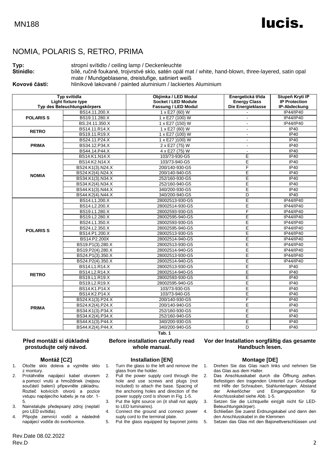# lucis.

# NOMIA, POLARIS S, RETRO, PRIMA

### **Typ:** stropní svítidlo / ceiling lamp / Deckenleuchte

**Stínidlo:** bílé, ručně foukané, trojvrstvé sklo, satén opál mat / white, hand-blown, three-layered, satin opal mate / Mundgeblasene, dreistufige, satiniert weiß

**Kovové části:** hliníkové lakované / painted aluminium / lackiertes Aluminium

| Typ svítidla                |                  | Objímka / LED Modul        | Energetická třída   | Stupeň Krytí IP      |
|-----------------------------|------------------|----------------------------|---------------------|----------------------|
| Light fixture type          |                  | Socket / LED Module        | <b>Energy Class</b> | <b>IP Protection</b> |
| Typ des Beleuchtungskörpers |                  | <b>Fassung / LED Modul</b> | Die Energieklasse   | IP-Abdeckung         |
| <b>POLARISS</b>             | BS14.11.200.X    | 1 x E27 (60) W             |                     | IP44/IP40            |
|                             | BS19.11.280.X    | 1 x E27 (100) W            | $\blacksquare$      | IP44/IP40            |
|                             | BS.24.11.350.X   | 1 x E27 (150) W            |                     | IP44/IP40            |
| <b>RETRO</b>                | BS14.11.R14.X    | 1 x E27 (60) W             |                     | IP40                 |
|                             | BS19.11.R19.X    | 1 x E27 (100) W            | $\sim$              | IP40                 |
| <b>PRIMA</b>                | BS24.11.P24.X    | 1 x E27 (100) W            | $\sim$              | <b>IP40</b>          |
|                             | BS34.12.P34.X    | 2 x E27 (75) W             | $\blacksquare$      | <b>IP40</b>          |
|                             | BS44.14.P44.X    | $4 \times$ E27 (75) W      | $\blacksquare$      | IP40                 |
| <b>NOMIA</b>                | BS14.K1.N14.X    | 103/73-930-G5              | E                   | <b>IP40</b>          |
|                             | BS14.K2.N14.X    | 103/73-940-G5              | E                   | <b>IP40</b>          |
|                             | BS24.K1(3).N24.X | 200/140-930-G5             | F                   | <b>IP40</b>          |
|                             | BS24.K2(4).N24.X | 200/140-940-G5             | E                   | IP40                 |
|                             | BS34.K1(3).N34.X | 252/160-930-G5             | E                   | <b>IP40</b>          |
|                             | BS34.K2(4).N34.X | 252/160-940-G5             | E                   | <b>IP40</b>          |
|                             | BS44.K1(3).N44.X | 340/200-930-G5             | Ε                   | IP40                 |
|                             | BS44.K2(4).N44.X | 340/200-940-G5             | D                   | <b>IP40</b>          |
| <b>POLARIS S</b>            | BS14.L1.200.X    | 28002513-930-G5            | Έ                   | <b>IP44/IP40</b>     |
|                             | BS14.L2.200.X    | 28002514-930-G5            | E                   | IP44/IP40            |
|                             | BS19.L1.280.X    | 28002593-930-G5            | F                   | IP44/IP40            |
|                             | BS19.L2.280.X    | 28002595-940-G5            | E                   | IP44/IP40            |
|                             | BS24.L1.350.X    | 28002593-930-G5            | E                   | IP44/IP40            |
|                             | BS24.L2.350.X    | 28002595-940-G5            | Ē                   | IP44/IP40            |
|                             | BS14.P1.200.X    | 28002513-930-G5            | Е                   | IP44/IP40            |
|                             | BS14.P2.200X     | 28002514-940-G5            | E                   | IP44/IP40            |
|                             | BS19.P1(3).280.X | 28002513-930-G5            | E                   | IP44/IP40            |
|                             | BS19.P2(4).280.X | 28002514-940-G5            | E                   | IP44/IP40            |
|                             | BS24.P1(3).350.X | 28002513-930-G5            | Ē                   | IP44/IP40            |
|                             | BS24.P2(4).350.X | 28002514-940-G5            | Ε                   | IP44/IP40            |
| <b>RETRO</b>                | BS14.L1.R14.X    | 28002513-930-G5            | E                   | <b>IP40</b>          |
|                             | BS14.L2.R14.X    | 28002514-940-G5            | Е                   | <b>IP40</b>          |
|                             | BS19.L1.R19.X    | 28002593-930-G5            | E                   | <b>IP40</b>          |
|                             | BS19.L2.R19.X    | 28002595-940-G5            | E                   | IP40                 |
| <b>PRIMA</b>                | BS14.K1.P14.X    | 103/73-930-G5              | E                   | <b>IP40</b>          |
|                             | BS14.K2.P14.X    | 103/73-940-G5              | E                   | <b>IP40</b>          |
|                             | BS24.K1(3).P24.X | 200/140-930-G5             | F                   | <b>IP40</b>          |
|                             | BS24.K2(4).P24.X | 200/140-940-G5             | E                   | <b>IP40</b>          |
|                             | BS34.K1(3).P34.X | 252/160-930-G5             | E                   | IP40                 |
|                             | BS34.K2(4).P34.X | 252/160-940-G5             | E                   | <b>IP40</b>          |
|                             | BS44.K1(3).P44.X | 340/200-930-G5             | E                   | IP40                 |
|                             | BS44.K2(4).P44.X | 340/200-940-G5             | D                   | <b>IP40</b>          |
|                             |                  | Tab. 1                     |                     |                      |

**Před montáží si důkladně prostudujte celý návod.**

### **Montáž [CZ]**

- 1. Otočte sklo doleva a vyjměte sklo z montury.
- 2. Protáhněte napájecí kabel otvorem a pomocí vrutů a hmoždinek (nejsou součástí balení) připevněte základnu. Rozteč kotvících otvorů a pozice vstupu napájecího kabelu je na obr. 1- 5.
- 3. Nainstalujte předepsaný zdroj (neplatí pro LED svítidla).
- 4. Připojte zemnící vodič a následně napájecí vodiče do svorkovnice.

**Installation [EN]**

**Before installation carefully read whole manual.**

1. Turn the glass to the left and remove the glass from the holder.

- 2. Pull the power supply cord through the hole and use screws and plugs (not included) to attach the base. Spacing of the anchoring holes and direction of the power supply cord is shown in Fig. 1-5.
- 3. Put the light source on (it shall not apply to LED luminaires).
- 4. Connect the ground and connect power suply cord to the terminal plate.
- 5. Put the glass equipped by bayonet joints

**Vor der Installation sorgfältig das gesamte Handbuch lesen.**

#### **Montage [DE]**

- 1. Drehen Sie das Glas nach links und nehmen Sie das Glas aus dem Halter.
- 2. Das Anschlusskabel durch die Öffnung zeihen. Befestigen den tragenden Unterteil zur Grundlage mit Hilfe der Schrauben, Stahlunterlagen. Abstand<br>der Ankerlöcher und Eingangsposition für und Eingangsposition für Anschlusskabel siehe Abb. 1-5.
- 3. Setzen Sie die Lichtquelle ein(gilt nicht für LED-Beleuchtungskörper).
- 4. Schließen Sie zuerst Erdnungskabel und dann den den Anschlusskabel in die Klemmen
- 5. Setzen das Glas mit den Bajonettverschlüssen und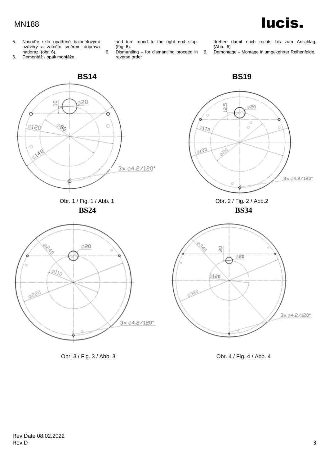# MN188

5. Nasaďte sklo opatřené bajonetovými uzávěry a zatočte směrem doprava nadoraz. (obr. 6).

6. Demontáž - opak montáže.

and turn round to the right end stop. (Fig. 6).

6. Dismantling – for dismantling proceed in reverse order

drehen damit nach rechts bis zum Anschlag. (Abb. 6)

lucis.

6. Demontage – Montage in umgekehrter Reihenfolge.



Obr. 3 / Fig. 3 / Abb. 3 Obr. 4 / Fig. 4 / Abb. 4